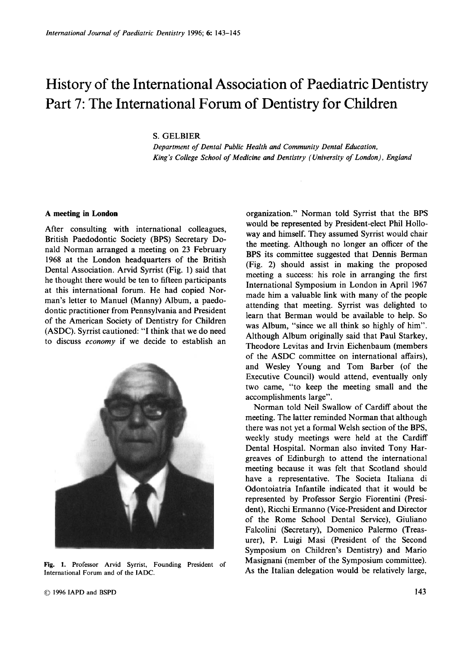## History of the International Association of Paediatric Dentistry Part 7: The International Forum of Dentistry for Children

## *S.* GELBIER

*Department of Dental Public Health and Community Dental Education, King's College School of Medicine and Dentistry (University of London), England* 

## **A meeting in London**

After consulting with international colleagues, British Paedodontic Society (BPS) Secretary Donald Norman arranged a meeting on **23** February **1968** at the London headquarters of the British Dental Association. Arvid Syrrist (Fig. 1) said that he thought there would be ten to fifteen participants at this international forum. He had copied Norman's letter to Manuel (Manny) Album, a paedodontic practitioner from Pennsylvania and President of the American Society of Dentistry for Children (ASDC). Syrrist cautioned: **"I** think that we do need to discuss *economy* if we decide to establish an



**Fig. 1. Professor Amid Syrrist, Founding President of International Forum and of the IADC.** 

organization." Norman told Syrrist that the BPS would be represented by President-elect Phil Holloway and himself. They assumed Syrrist would chair the meeting. Although no longer an officer of the BPS its committee suggested that Dennis Berman (Fig. **2)** should assist in making the proposed meeting a success: his role in arranging the first International Symposium in London in April **1967**  made him a valuable link with many of the people attending that meeting. Syrrist was delighted to learn that Berman would be available to help. *So*  was Album, "since we all think *so* highly of him". Although Album originally said that Paul Starkey, Theodore Levitas and Irvin Eichenbaum (members of the ASDC committee on international affairs), and Wesley Young and Tom Barber (of the Executive Council) would attend, eventually only two came, "to keep the meeting small and the accomplishments large".

Norman told Neil Swallow of Cardiff about the meeting. The latter reminded Norman that although there was not yet a formal Welsh section of the BPS, weekly study meetings were held at the Cardiff Dental Hospital. Norman also invited Tony Hargreaves of Edinburgh to attend the international meeting because it was felt that Scotland should have a representative. The Societa Italiana di Odontoiatria Infantile indicated that it would be represented by Professor Sergio Fiorentini (President), Ricchi Ermanno (Vice-President and Director of the Rome School Dental Service), Giuliano Falcolini (Secretary), Domenico Palermo (Treasurer), P. Luigi Masi (President of the Second Symposium on Children's Dentistry) and Mario Masignani (member of the Symposium committee). As the Italian delegation would be relatively large,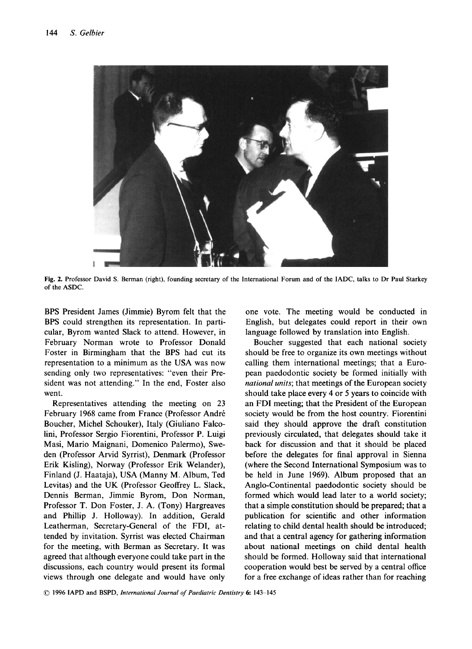

**Fig. 2. Professor David S. Berman (right), founding secretary of the International Forum and of the IADC, talks to Dr Paul Starkey of the ASDC.** 

BPS President James (Jimmie) Byrom felt that the BPS could strengthen its representation. In particular, Byrom wanted Slack to attend. However, in February Norman wrote to Professor Donald Foster in Birmingham that the BPS had cut its representation to a minimum as the USA was now sending only two representatives: "even their President was not attending." In the end, Foster also went.

Representatives attending the meeting on **23**  February 1968 came from France (Professor André Boucher, Michel Schouker), Italy (Giuliano Falcolini, Professor Sergio Fiorentini, Professor P. Luigi Masi, Mario Maignani, Domenico Palermo), Sweden (Professor Arvid Syrrist), Denmark (Professor Erik Kisling), Norway (Professor Erik Welander), Finland (J. Haataja), USA (Manny M. Album, Ted Levitas) and the UK (Professor Geoffrey L. Slack, Dennis Berman, Jimmie Byrom, Don Norman, Professor **T.** Don Foster, J. A. (Tony) Hargreaves and Phillip J. Holloway). In addition, Gerald Leatherman, Secretary-General of the FDI, attended by invitation. Syrrist was elected Chairman for the meeting, with Berman as Secretary. It was agreed that although everyone could take part in the discussions, each country would present its formal views through one delegate and would have only

one vote. The meeting would be conducted in English, but delegates could report in their own language followed by translation into English.

Boucher suggested that each national society should be free to organize its own meetings without calling them international meetings; that a European paedodontic society be formed initially with *national units;* that meetings of the European society should take place every 4 or *5* years to coincide with an FDI meeting; that the President of the European society would be from the host country. Fiorentini said they should approve the draft constitution previously circulated, that delegates should take it back for discussion and that it should be placed before the delegates for final approval in Sienna (where the Second International Symposium was to be held in June 1969). Album proposed that an Anglo-Continental paedodontic society should be formed which would lead later to a world society; that a simple constitution should be prepared; that a publication for scientific and other information relating to child dental health should be introduced; and that a central agency for gathering information about national meetings on child dental health should be formed. Holloway said that international cooperation would best be served by a central office for a free exchange of ideas rather than for reaching